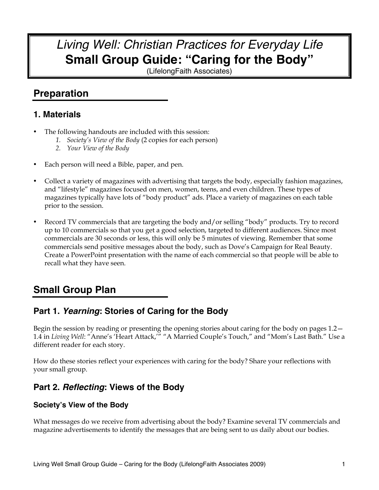# *Living Well: Christian Practices for Everyday Life* **Small Group Guide: "Caring for the Body"**

(LifelongFaith Associates)

# **Preparation**

# **1. Materials**

- The following handouts are included with this session:
	- *1. Society's View of the Body* (2 copies for each person)
	- *2. Your View of the Body*
- Each person will need a Bible, paper, and pen.
- Collect a variety of magazines with advertising that targets the body, especially fashion magazines, and "lifestyle" magazines focused on men, women, teens, and even children. These types of magazines typically have lots of "body product" ads. Place a variety of magazines on each table prior to the session.
- Record TV commercials that are targeting the body and/or selling "body" products. Try to record up to 10 commercials so that you get a good selection, targeted to different audiences. Since most commercials are 30 seconds or less, this will only be 5 minutes of viewing. Remember that some commercials send positive messages about the body, such as Dove's Campaign for Real Beauty. Create a PowerPoint presentation with the name of each commercial so that people will be able to recall what they have seen.

# **Small Group Plan**

# **Part 1.** *Yearning***: Stories of Caring for the Body**

Begin the session by reading or presenting the opening stories about caring for the body on pages 1.2— 1.4 in *Living Well*: "Anne's 'Heart Attack,'" "A Married Couple's Touch," and "Mom's Last Bath." Use a different reader for each story.

How do these stories reflect your experiences with caring for the body? Share your reflections with your small group.

# **Part 2.** *Reflecting***: Views of the Body**

## **Society's View of the Body**

What messages do we receive from advertising about the body? Examine several TV commercials and magazine advertisements to identify the messages that are being sent to us daily about our bodies.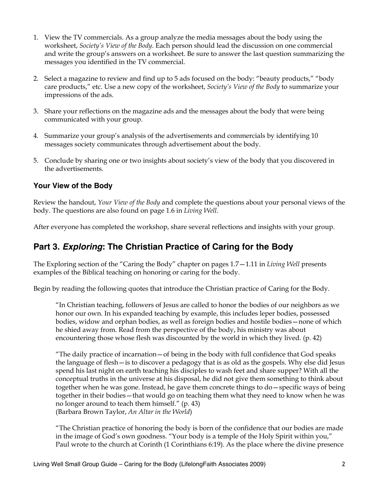- 1. View the TV commercials. As a group analyze the media messages about the body using the worksheet, *Society's View of the Body*. Each person should lead the discussion on one commercial and write the group's answers on a worksheet. Be sure to answer the last question summarizing the messages you identified in the TV commercial.
- 2. Select a magazine to review and find up to 5 ads focused on the body: "beauty products," "body care products," etc. Use a new copy of the worksheet, *Society's View of the Body* to summarize your impressions of the ads.
- 3. Share your reflections on the magazine ads and the messages about the body that were being communicated with your group.
- 4. Summarize your group's analysis of the advertisements and commercials by identifying 10 messages society communicates through advertisement about the body.
- 5. Conclude by sharing one or two insights about society's view of the body that you discovered in the advertisements.

## **Your View of the Body**

Review the handout, *Your View of the Body* and complete the questions about your personal views of the body. The questions are also found on page 1.6 in *Living Well*.

After everyone has completed the workshop, share several reflections and insights with your group.

# **Part 3.** *Exploring***: The Christian Practice of Caring for the Body**

The Exploring section of the "Caring the Body" chapter on pages 1.7—1.11 in *Living Well* presents examples of the Biblical teaching on honoring or caring for the body.

Begin by reading the following quotes that introduce the Christian practice of Caring for the Body.

"In Christian teaching, followers of Jesus are called to honor the bodies of our neighbors as we honor our own. In his expanded teaching by example, this includes leper bodies, possessed bodies, widow and orphan bodies, as well as foreign bodies and hostile bodies—none of which he shied away from. Read from the perspective of the body, his ministry was about encountering those whose flesh was discounted by the world in which they lived. (p. 42)

"The daily practice of incarnation—of being in the body with full confidence that God speaks the language of flesh—is to discover a pedagogy that is as old as the gospels. Why else did Jesus spend his last night on earth teaching his disciples to wash feet and share supper? With all the conceptual truths in the universe at his disposal, he did not give them something to think about together when he was gone. Instead, he gave them concrete things to do—specific ways of being together in their bodies—that would go on teaching them what they need to know when he was no longer around to teach them himself." (p. 43) (Barbara Brown Taylor, *An Altar in the World*)

"The Christian practice of honoring the body is born of the confidence that our bodies are made in the image of God's own goodness. "Your body is a temple of the Holy Spirit within you," Paul wrote to the church at Corinth (1 Corinthians 6:19). As the place where the divine presence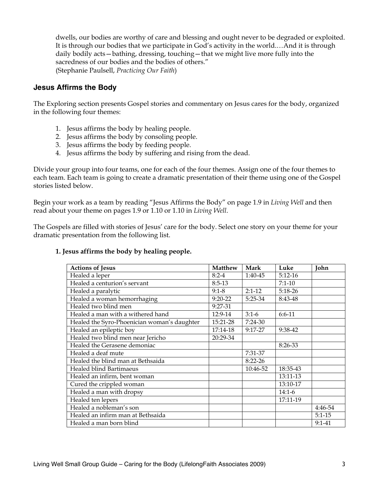dwells, our bodies are worthy of care and blessing and ought never to be degraded or exploited. It is through our bodies that we participate in God's activity in the world.…And it is through daily bodily acts—bathing, dressing, touching—that we might live more fully into the sacredness of our bodies and the bodies of others." (Stephanie Paulsell, *Practicing Our Faith*)

### **Jesus Affirms the Body**

The Exploring section presents Gospel stories and commentary on Jesus cares for the body, organized in the following four themes:

- 1. Jesus affirms the body by healing people.
- 2. Jesus affirms the body by consoling people.
- 3. Jesus affirms the body by feeding people.
- 4. Jesus affirms the body by suffering and rising from the dead.

Divide your group into four teams, one for each of the four themes. Assign one of the four themes to each team. Each team is going to create a dramatic presentation of their theme using one of the Gospel stories listed below.

Begin your work as a team by reading "Jesus Affirms the Body" on page 1.9 in *Living Well* and then read about your theme on pages 1.9 or 1.10 or 1.10 in *Living Well*.

The Gospels are filled with stories of Jesus' care for the body. Select one story on your theme for your dramatic presentation from the following list.

### **1. Jesus affirms the body by healing people.**

| <b>Actions of Jesus</b>                     | <b>Matthew</b> | Mark        | Luke      | John       |
|---------------------------------------------|----------------|-------------|-----------|------------|
| Healed a leper                              | $8:2-4$        | 1:40-45     | $5:12-16$ |            |
| Healed a centurion's servant                | $8:5-13$       |             | $7:1-10$  |            |
| Healed a paralytic                          | $9:1-8$        | $2:1-12$    | $5:18-26$ |            |
| Healed a woman hemorrhaging                 | $9:20-22$      | $5:25-34$   | 8:43-48   |            |
| Healed two blind men                        | 9:27-31        |             |           |            |
| Healed a man with a withered hand           | 12:9-14        | $3:1-6$     | $6:6-11$  |            |
| Healed the Syro-Phoenician woman's daughter | 15:21-28       | $7:24-30$   |           |            |
| Healed an epileptic boy                     | 17:14-18       | $9:17-27$   | 9:38-42   |            |
| Healed two blind men near Jericho           | 20:29-34       |             |           |            |
| Healed the Gerasene demoniac                |                |             | 8:26-33   |            |
| Healed a deaf mute                          |                | 7:31-37     |           |            |
| Healed the blind man at Bethsaida           |                | $8:22 - 26$ |           |            |
| Healed blind Bartimaeus                     |                | 10:46-52    | 18:35-43  |            |
| Healed an infirm, bent woman                |                |             | 13:11-13  |            |
| Cured the crippled woman                    |                |             | 13:10-17  |            |
| Healed a man with dropsy                    |                |             | $14:1-6$  |            |
| Healed ten lepers                           |                |             | 17:11-19  |            |
| Healed a nobleman's son                     |                |             |           | 4:46-54    |
| Healed an infirm man at Bethsaida           |                |             |           | $5:1 - 15$ |
| Healed a man born blind                     |                |             |           | $9:1-41$   |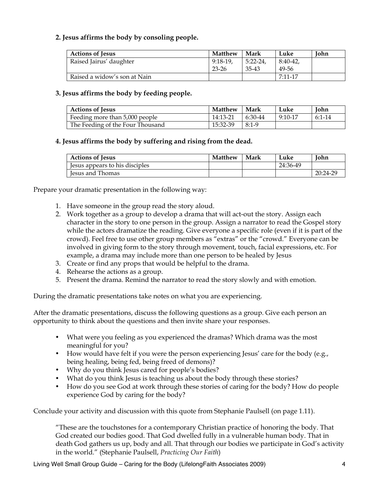### **2. Jesus affirms the body by consoling people.**

| <b>Actions of Jesus</b>      | <b>Matthew</b> | Mark      | Luke        | <b>John</b> |
|------------------------------|----------------|-----------|-------------|-------------|
| Raised Jairus' daughter      | $9:18-19$      | $5:22-24$ | $8:40-42$   |             |
|                              | 23-26          | 35-43     | 49-56       |             |
| Raised a widow's son at Nain |                |           | $7:11 - 17$ |             |

### **3. Jesus affirms the body by feeding people.**

| <b>Actions of Jesus</b>          | <b>Matthew</b> | Mark    | Luke      | <b>John</b> |
|----------------------------------|----------------|---------|-----------|-------------|
| Feeding more than 5,000 people   | 14:13-21       | 6:30-44 | $9:10-17$ | $6:1-14$    |
| The Feeding of the Four Thousand | 15:32-39       | $8:1-9$ |           |             |

### **4. Jesus affirms the body by suffering and rising from the dead.**

| <b>Actions of Jesus</b>          | <b>Matthew</b> | Mark | Luke     | Iohn     |
|----------------------------------|----------------|------|----------|----------|
| I lesus appears to his disciples |                |      | 24:36-49 |          |
| <b>Iesus and Thomas</b>          |                |      |          | 20:24-29 |

Prepare your dramatic presentation in the following way:

- 1. Have someone in the group read the story aloud.
- 2. Work together as a group to develop a drama that will act-out the story. Assign each character in the story to one person in the group. Assign a narrator to read the Gospel story while the actors dramatize the reading. Give everyone a specific role (even if it is part of the crowd). Feel free to use other group members as "extras" or the "crowd." Everyone can be involved in giving form to the story through movement, touch, facial expressions, etc. For example, a drama may include more than one person to be healed by Jesus
- 3. Create or find any props that would be helpful to the drama.
- 4. Rehearse the actions as a group.
- 5. Present the drama. Remind the narrator to read the story slowly and with emotion.

During the dramatic presentations take notes on what you are experiencing.

After the dramatic presentations, discuss the following questions as a group. Give each person an opportunity to think about the questions and then invite share your responses.

- What were you feeling as you experienced the dramas? Which drama was the most meaningful for you?
- How would have felt if you were the person experiencing Jesus' care for the body (e.g., being healing, being fed, being freed of demons)?
- Why do you think Jesus cared for people's bodies?
- What do you think Jesus is teaching us about the body through these stories?
- How do you see God at work through these stories of caring for the body? How do people experience God by caring for the body?

Conclude your activity and discussion with this quote from Stephanie Paulsell (on page 1.11).

"These are the touchstones for a contemporary Christian practice of honoring the body. That God created our bodies good. That God dwelled fully in a vulnerable human body. That in death God gathers us up, body and all. That through our bodies we participate in God's activity in the world." (Stephanie Paulsell, *Practicing Our Faith*)

Living Well Small Group Guide – Caring for the Body (LifelongFaith Associates 2009) 4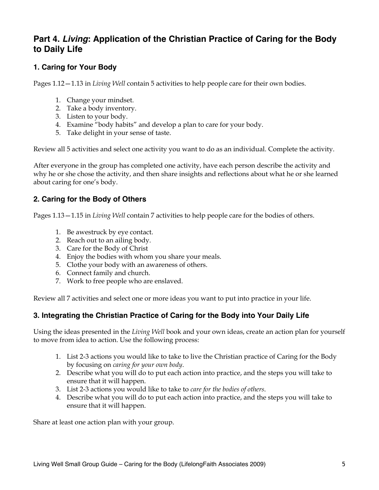# **Part 4.** *Living***: Application of the Christian Practice of Caring for the Body to Daily Life**

## **1. Caring for Your Body**

Pages 1.12—1.13 in *Living Well* contain 5 activities to help people care for their own bodies.

- 1. Change your mindset.
- 2. Take a body inventory.
- 3. Listen to your body.
- 4. Examine "body habits" and develop a plan to care for your body.
- 5. Take delight in your sense of taste.

Review all 5 activities and select one activity you want to do as an individual. Complete the activity.

After everyone in the group has completed one activity, have each person describe the activity and why he or she chose the activity, and then share insights and reflections about what he or she learned about caring for one's body.

## **2. Caring for the Body of Others**

Pages 1.13—1.15 in *Living Well* contain 7 activities to help people care for the bodies of others.

- 1. Be awestruck by eye contact.
- 2. Reach out to an ailing body.
- 3. Care for the Body of Christ
- 4. Enjoy the bodies with whom you share your meals.
- 5. Clothe your body with an awareness of others.
- 6. Connect family and church.
- 7. Work to free people who are enslaved.

Review all 7 activities and select one or more ideas you want to put into practice in your life.

### **3. Integrating the Christian Practice of Caring for the Body into Your Daily Life**

Using the ideas presented in the *Living Well* book and your own ideas, create an action plan for yourself to move from idea to action. Use the following process:

- 1. List 2-3 actions you would like to take to live the Christian practice of Caring for the Body by focusing on *caring for your own body*.
- 2. Describe what you will do to put each action into practice, and the steps you will take to ensure that it will happen.
- 3. List 2-3 actions you would like to take to *care for the bodies of others*.
- 4. Describe what you will do to put each action into practice, and the steps you will take to ensure that it will happen.

Share at least one action plan with your group.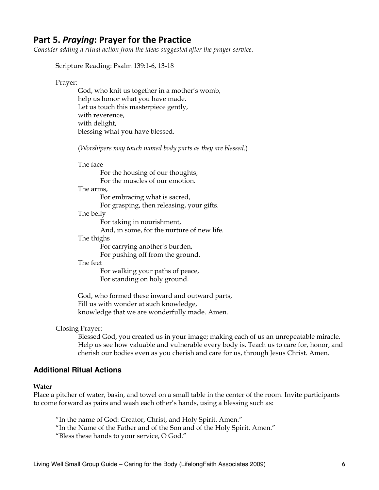## Part 5. Praying: Prayer for the Practice

*Consider adding a ritual action from the ideas suggested after the prayer service*.

Scripture Reading: Psalm 139:1-6, 13-18

#### Prayer:

God, who knit us together in a mother's womb, help us honor what you have made. Let us touch this masterpiece gently, with reverence, with delight, blessing what you have blessed.

(*Worshipers may touch named body parts as they are blessed*.)

### The face

For the housing of our thoughts, For the muscles of our emotion. The arms, For embracing what is sacred, For grasping, then releasing, your gifts. The belly For taking in nourishment, And, in some, for the nurture of new life.

#### The thighs

For carrying another's burden,

For pushing off from the ground.

#### The feet

For walking your paths of peace, For standing on holy ground.

God, who formed these inward and outward parts, Fill us with wonder at such knowledge, knowledge that we are wonderfully made. Amen.

#### Closing Prayer:

Blessed God, you created us in your image; making each of us an unrepeatable miracle. Help us see how valuable and vulnerable every body is. Teach us to care for, honor, and cherish our bodies even as you cherish and care for us, through Jesus Christ. Amen.

#### **Additional Ritual Actions**

#### **Water**

Place a pitcher of water, basin, and towel on a small table in the center of the room. Invite participants to come forward as pairs and wash each other's hands, using a blessing such as:

"In the name of God: Creator, Christ, and Holy Spirit. Amen."

"In the Name of the Father and of the Son and of the Holy Spirit. Amen."

"Bless these hands to your service, O God."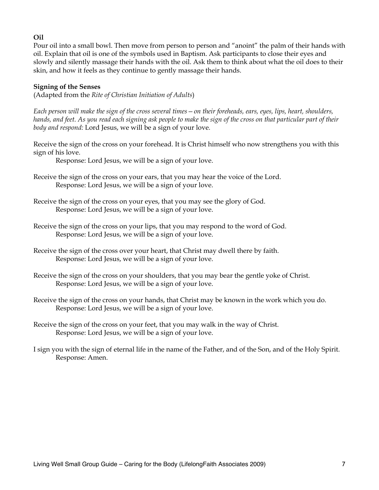### **Oil**

Pour oil into a small bowl. Then move from person to person and "anoint" the palm of their hands with oil. Explain that oil is one of the symbols used in Baptism. Ask participants to close their eyes and slowly and silently massage their hands with the oil. Ask them to think about what the oil does to their skin, and how it feels as they continue to gently massage their hands.

### **Signing of the Senses**

(Adapted from the *Rite of Christian Initiation of Adults*)

*Each person will make the sign of the cross several times—on their foreheads, ears, eyes, lips, heart, shoulders, hands, and feet. As you read each signing ask people to make the sign of the cross on that particular part of their body and respond:* Lord Jesus, we will be a sign of your love*.* 

Receive the sign of the cross on your forehead. It is Christ himself who now strengthens you with this sign of his love.

Response: Lord Jesus, we will be a sign of your love.

- Receive the sign of the cross on your ears, that you may hear the voice of the Lord. Response: Lord Jesus, we will be a sign of your love.
- Receive the sign of the cross on your eyes, that you may see the glory of God. Response: Lord Jesus, we will be a sign of your love.
- Receive the sign of the cross on your lips, that you may respond to the word of God. Response: Lord Jesus, we will be a sign of your love.
- Receive the sign of the cross over your heart, that Christ may dwell there by faith. Response: Lord Jesus, we will be a sign of your love.
- Receive the sign of the cross on your shoulders, that you may bear the gentle yoke of Christ. Response: Lord Jesus, we will be a sign of your love.
- Receive the sign of the cross on your hands, that Christ may be known in the work which you do. Response: Lord Jesus, we will be a sign of your love.
- Receive the sign of the cross on your feet, that you may walk in the way of Christ. Response: Lord Jesus, we will be a sign of your love.
- I sign you with the sign of eternal life in the name of the Father, and of the Son, and of the Holy Spirit. Response: Amen.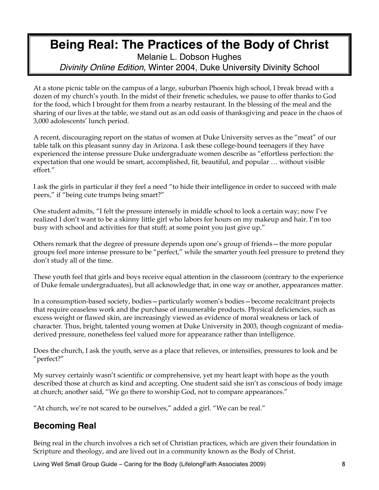# **Being Real: The Practices of the Body of Christ**

Melanie L. Dobson Hughes *Divinity Online Edition*, Winter 2004, Duke University Divinity School

At a stone picnic table on the campus of a large, suburban Phoenix high school, I break bread with a dozen of my church's youth. In the midst of their frenetic schedules, we pause to offer thanks to God for the food, which I brought for them from a nearby restaurant. In the blessing of the meal and the sharing of our lives at the table, we stand out as an odd oasis of thanksgiving and peace in the chaos of 3,000 adolescents' lunch period.

A recent, discouraging report on the status of women at Duke University serves as the "meat" of our table talk on this pleasant sunny day in Arizona. I ask these college-bound teenagers if they have experienced the intense pressure Duke undergraduate women describe as "effortless perfection: the expectation that one would be smart, accomplished, fit, beautiful, and popular … without visible effort."

I ask the girls in particular if they feel a need "to hide their intelligence in order to succeed with male peers," if "being cute trumps being smart?"

One student admits, "I felt the pressure intensely in middle school to look a certain way; now I've realized I don't want to be a skinny little girl who labors for hours on my makeup and hair. I'm too busy with school and activities for that stuff; at some point you just give up."

Others remark that the degree of pressure depends upon one's group of friends—the more popular groups feel more intense pressure to be "perfect," while the smarter youth feel pressure to pretend they don't study all of the time.

These youth feel that girls and boys receive equal attention in the classroom (contrary to the experience of Duke female undergraduates), but all acknowledge that, in one way or another, appearances matter.

In a consumption-based society, bodies—particularly women's bodies—become recalcitrant projects that require ceaseless work and the purchase of innumerable products. Physical deficiencies, such as excess weight or flawed skin, are increasingly viewed as evidence of moral weakness or lack of character. Thus, bright, talented young women at Duke University in 2003, though cognizant of mediaderived pressure, nonetheless feel valued more for appearance rather than intelligence.

Does the church, I ask the youth, serve as a place that relieves, or intensifies, pressures to look and be "perfect?"

My survey certainly wasn't scientific or comprehensive, yet my heart leapt with hope as the youth described those at church as kind and accepting. One student said she isn't as conscious of body image at church; another said, "We go there to worship God, not to compare appearances."

"At church, we're not scared to be ourselves," added a girl. "We can be real."

# **Becoming Real**

Being real in the church involves a rich set of Christian practices, which are given their foundation in Scripture and theology, and are lived out in a community known as the Body of Christ.

Living Well Small Group Guide – Caring for the Body (LifelongFaith Associates 2009) 8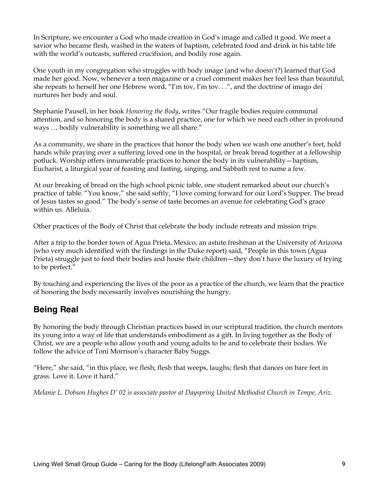In Scripture, we encounter a God who made creation in God's image and called it good. We meet a savior who became flesh, washed in the waters of baptism, celebrated food and drink in his table life with the world's outcasts, suffered crucifixion, and bodily rose again.

One youth in my congregation who struggles with body image (and who doesn't?) learned that God made her good. Now, whenever a teen magazine or a cruel comment makes her feel less than beautiful, she repeats to herself her one Hebrew word, "I'm tov, I'm tov. . .", and the doctrine of imago dei nurtures her body and soul.

Stephanie Pausell, in her book *Honoring the Body*, writes "Our fragile bodies require communal attention, and so honoring the body is a shared practice, one for which we need each other in profound ways … bodily vulnerability is something we all share."

As a community, we share in the practices that honor the body when we wash one another's feet, hold hands while praying over a suffering loved one in the hospital, or break bread together at a fellowship potluck. Worship offers innumerable practices to honor the body in its vulnerability—baptism, Eucharist, a liturgical year of feasting and fasting, singing, and Sabbath rest to name a few.

At our breaking of bread on the high school picnic table, one student remarked about our church's practice of table. "You know," she said softly, "I love coming forward for our Lord's Supper. The bread of Jesus tastes so good." The body's sense of taste becomes an avenue for celebrating God's grace within us. Alleluia.

Other practices of the Body of Christ that celebrate the body include retreats and mission trips.

After a trip to the border town of Agua Prieta, Mexico, an astute freshman at the University of Arizona (who very much identified with the findings in the Duke report) said, "People in this town (Agua Prieta) struggle just to feed their bodies and house their children—they don't have the luxury of trying to be perfect."

By touching and experiencing the lives of the poor as a practice of the church, we learn that the practice of honoring the body necessarily involves nourishing the hungry.

# **Being Real**

By honoring the body through Christian practices based in our scriptural tradition, the church mentors its young into a way of life that understands embodiment as a gift. In living together as the Body of Christ, we are a people who allow youth and young adults to be and to celebrate their bodies. We follow the advice of Toni Morrison's character Baby Suggs.

"Here," she said, "in this place, we flesh; flesh that weeps, laughs; flesh that dances on bare feet in grass. Love it. Love it hard."

*Melanie L. Dobson Hughes D' 02 is associate pastor at Dayspring United Methodist Church in Tempe, Ariz.*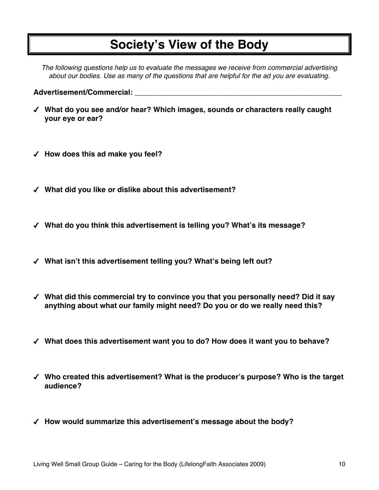# **Society's View of the Body**

*The following questions help us to evaluate the messages we receive from commercial advertising about our bodies. Use as many of the questions that are helpful for the ad you are evaluating.*

#### **Advertisement/Commercial: \_\_\_\_\_\_\_\_\_\_\_\_\_\_\_\_\_\_\_\_\_\_\_\_\_\_\_\_\_\_\_\_\_\_\_\_\_\_\_\_\_\_\_\_\_\_\_\_\_\_**

- **What do you see and/or hear? Which images, sounds or characters really caught your eye or ear?**
- **How does this ad make you feel?**
- **What did you like or dislike about this advertisement?**
- **What do you think this advertisement is telling you? What's its message?**
- **What isn't this advertisement telling you? What's being left out?**
- **What did this commercial try to convince you that you personally need? Did it say anything about what our family might need? Do you or do we really need this?**
- **What does this advertisement want you to do? How does it want you to behave?**
- **Who created this advertisement? What is the producer's purpose? Who is the target audience?**
- **How would summarize this advertisement's message about the body?**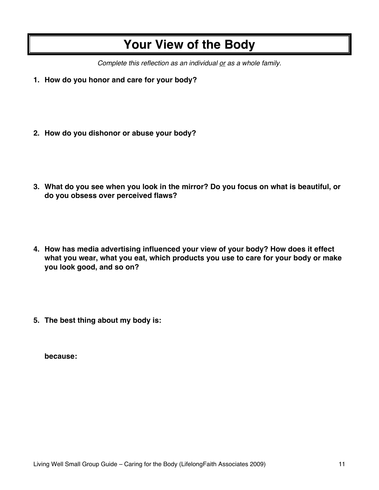# **Your View of the Body**

*Complete this reflection as an individual or as a whole family.*

- **1. How do you honor and care for your body?**
- **2. How do you dishonor or abuse your body?**
- **3. What do you see when you look in the mirror? Do you focus on what is beautiful, or do you obsess over perceived flaws?**
- **4. How has media advertising influenced your view of your body? How does it effect what you wear, what you eat, which products you use to care for your body or make you look good, and so on?**
- **5. The best thing about my body is:**

**because:**